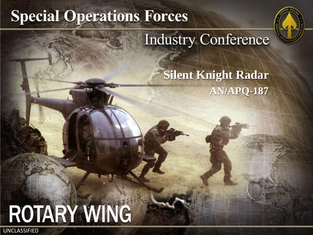# **Special Operations Forces**



## **Industry Conference**

### **Silent Knight Radar AN/APQ-187**

# **ROTARY WING**

UNCLASSIFIED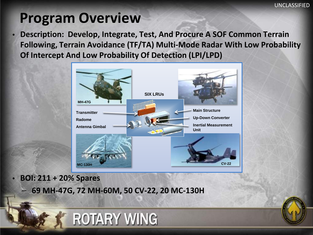### **Program Overview**

• **Description: Develop, Integrate, Test, And Procure A SOF Common Terrain Following, Terrain Avoidance (TF/TA) Multi-Mode Radar With Low Probability Of Intercept And Low Probability Of Detection (LPI/LPD)**



• **BOI: 211 + 20% Spares**

UNCLASSIFIED STATES

– **69 MH-47G, 72 MH-60M, 50 CV-22, 20 MC-130H**

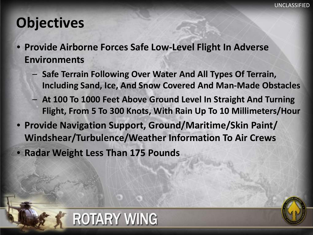### **Objectives**

UNCLASSIFIED STATES

- **Provide Airborne Forces Safe Low-Level Flight In Adverse Environments**
	- **Safe Terrain Following Over Water And All Types Of Terrain, Including Sand, Ice, And Snow Covered And Man-Made Obstacles**
	- **At 100 To 1000 Feet Above Ground Level In Straight And Turning Flight, From 5 To 300 Knots, With Rain Up To 10 Millimeters/Hour**
- **Provide Navigation Support, Ground/Maritime/Skin Paint/ Windshear/Turbulence/Weather Information To Air Crews**

• **Radar Weight Less Than 175 Pounds**

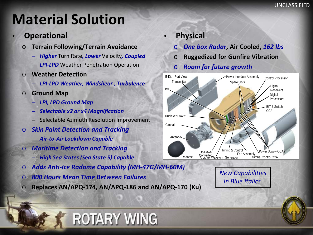### **Material Solution**

#### • **Operational**

- o **Terrain Following/Terrain Avoidance**
	- *Higher* Turn Rate*, Lower* Velocity*, Coupled*
	- *LPI-LPD* Weather Penetration Operation
- o **Weather Detection**
	- *LPI-LPD Weather, Windshear , Turbulence*
- o **Ground Map**

UNCLASSIFIED STATES

- *LPI, LPD Ground Map*
- *Selectable x2 or x4 Magnification*
- Selectable Azimuth Resolution Improvement
- o *Skin Paint Detection and Tracking*
	- *Air-to-Air Lookdown Capable*
- o *Maritime Detection and Tracking*
	- *High Sea States (Sea State 5) Capable*
- o *Adds Anti-Ice Radome Capability (MH-47G/MH-60M)*
- o *800 Hours Mean Time Between Failures*
- o **Replaces AN/APQ-174, AN/APQ-186 and AN/APQ-170 (Ku)**

**ROTARY WING** 

- **Physical**
	- o *One box Radar***, Air Cooled,** *162 lbs*
	- o **Ruggedized for Gunfire Vibration**
	- o *Room for future growth*



*New Capabilities In Blue Italics* 

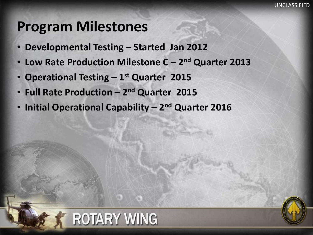### **Program Milestones**

UNCLASSIFIED STATES

- **Developmental Testing – Started Jan 2012**
- **Low Rate Production Milestone C – 2nd Quarter 2013**
- **Operational Testing – 1st Quarter 2015**
- **Full Rate Production – 2nd Quarter 2015**
- **Initial Operational Capability – 2nd Quarter 2016**

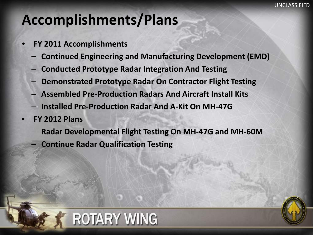### **Accomplishments/Plans**

- **FY 2011 Accomplishments**
	- **Continued Engineering and Manufacturing Development (EMD)**
	- **Conducted Prototype Radar Integration And Testing**
	- **Demonstrated Prototype Radar On Contractor Flight Testing**
	- **Assembled Pre-Production Radars And Aircraft Install Kits**
	- **Installed Pre-Production Radar And A-Kit On MH-47G**
- **FY 2012 Plans**

UNCLASSIFIED STATES

- **Radar Developmental Flight Testing On MH-47G and MH-60M**
	- **Continue Radar Qualification Testing**

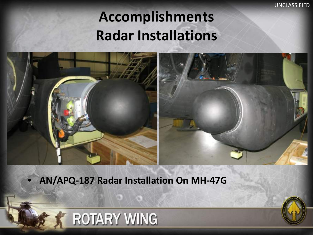UNCLASSIFIED

# **Accomplishments Radar Installations**



• **AN/APQ-187 Radar Installation On MH-47G**

**ROTARY WING** 

UNCLASSIFIED STATES

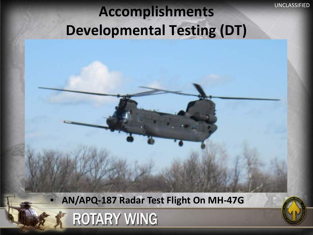# Accomplishments **DINCLASSIFIED Developmental Testing (DT)**

• **AN/APQ-187 Radar Test Flight On MH-47G**



UNCLASSIFIED STATES